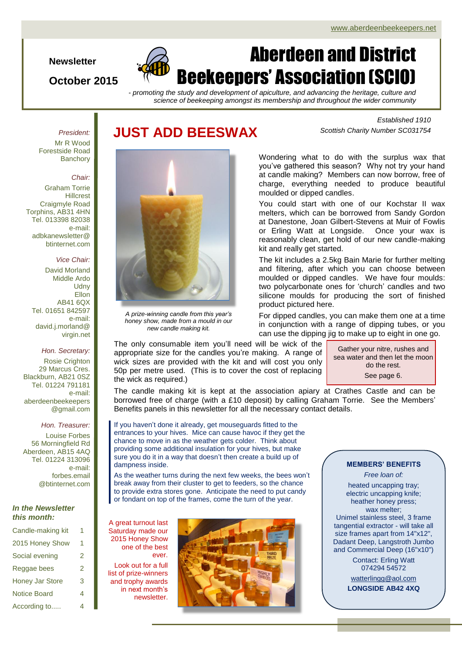#### **Newsletter**

### **October 2015**

# Aberdeen and District Beekeepers' Association (SCIO)

*- promoting the study and development of apiculture, and advancing the heritage, culture and science of beekeeping amongst its membership and throughout the wider community*

### **JUST ADD BEESWAX**

*Established 1910 Scottish Charity Number SC031754*

Mr R Wood Forestside Road **Banchory** 

*President:*

#### *Chair:*

Graham Torrie Hillcrest Craigmyle Road Torphins, AB31 4HN Tel. 013398 82038 e-mail: adbkanewsletter@ btinternet.com

#### *Vice Chair:*

David Morland Middle Ardo **Udny Ellon** AB41 6QX Tel. 01651 842597 e-mail: david.j.morland@ virgin.net

#### *Hon. Secretary:*

Rosie Crighton 29 Marcus Cres. Blackburn, AB21 0SZ Tel. 01224 791181 e-mail: aberdeenbeekeepers @gmail.com

#### *Hon. Treasurer:*

Louise Forbes 56 Morningfield Rd Aberdeen, AB15 4AQ Tel. 01224 313096 e-mail: forbes.email @btinternet.com

#### *In the Newsletter this month:*

| Candle-making kit      | 1 |
|------------------------|---|
| 2015 Honey Show        | 1 |
| Social evening         | 2 |
| Reggae bees            | 2 |
| <b>Honey Jar Store</b> | 3 |
| <b>Notice Board</b>    | 4 |
| According to           | 4 |



*A prize-winning candle from this year's honey show, made from a mould in our new candle making kit.*

Wondering what to do with the surplus wax that you've gathered this season? Why not try your hand at candle making? Members can now borrow, free of charge, everything needed to produce beautiful moulded or dipped candles.

You could start with one of our Kochstar II wax melters, which can be borrowed from Sandy Gordon at Danestone, Joan Gilbert-Stevens at Muir of Fowlis or Erling Watt at Longside. Once your wax is reasonably clean, get hold of our new candle-making kit and really get started.

The kit includes a 2.5kg Bain Marie for further melting and filtering, after which you can choose between moulded or dipped candles. We have four moulds: two polycarbonate ones for 'church' candles and two silicone moulds for producing the sort of finished product pictured here.

For dipped candles, you can make them one at a time in conjunction with a range of dipping tubes, or you can use the dipping jig to make up to eight in one go.

The only consumable item you'll need will be wick of the appropriate size for the candles you're making. A range of wick sizes are provided with the kit and will cost you only 50p per metre used. (This is to cover the cost of replacing the wick as required.)

Gather your nitre, rushes and sea water and then let the moon do the rest. See page 6.

The candle making kit is kept at the association apiary at Crathes Castle and can be borrowed free of charge (with a £10 deposit) by calling Graham Torrie. See the Members' Benefits panels in this newsletter for all the necessary contact details.

If you haven't done it already, get mouseguards fitted to the entrances to your hives. Mice can cause havoc if they get the chance to move in as the weather gets colder. Think about providing some additional insulation for your hives, but make sure you do it in a way that doesn't then create a build up of dampness inside.

As the weather turns during the next few weeks, the bees won't break away from their cluster to get to feeders, so the chance to provide extra stores gone. Anticipate the need to put candy or fondant on top of the frames, come the turn of the year.

A great turnout last Saturday made our 2015 Honey Show one of the best ever.

Look out for a full list of prize-winners and trophy awards in next month's newsletter.



#### **MEMBERS' BENEFITS**

*Free loan of:*

heated uncapping tray; electric uncapping knife; heather honey press; wax melter; Unimel stainless steel, 3 frame tangential extractor - will take all size frames apart from 14"x12", Dadant Deep, Langstroth Jumbo and Commercial Deep (16"x10")

Contact: Erling Watt 074294 54572

[watterlingg@aol.com](mailto:watterlingg@aol.com) **LONGSIDE AB42 4XQ**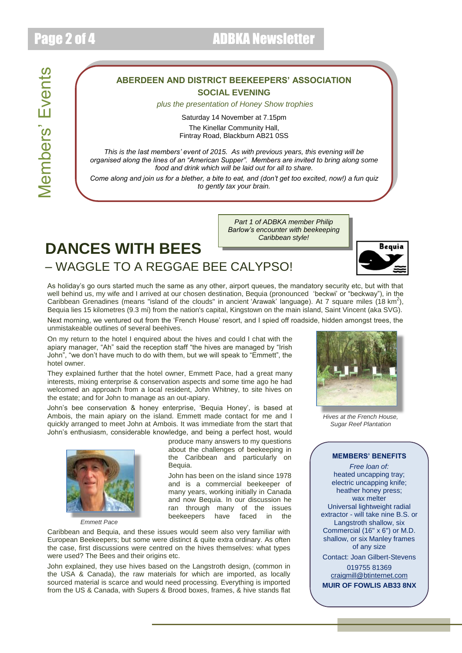### **ABERDEEN AND DISTRICT BEEKEEPERS' ASSOCIATION SOCIAL EVENING**

*plus the presentation of Honey Show trophies*

Saturday 14 November at 7.15pm The Kinellar Community Hall, Fintray Road, Blackburn AB21 0SS

*This is the last members' event of 2015. As with previous years, this evening will be organised along the lines of an "American Supper". Members are invited to bring along some food and drink which will be laid out for all to share.*

*Come along and join us for a blether, a bite to eat, and (don't get too excited, now!) a fun quiz to gently tax your brain.*

> *Part 1 of ADBKA member Philip Barlow's encounter with beekeeping Caribbean style!*

### **DANCES WITH BEES** – WAGGLE TO A REGGAE BEE CALYPSO!

Bequia

As holiday's go ours started much the same as any other, airport queues, the mandatory security etc, but with that well behind us, my wife and I arrived at our chosen destination, Bequia (pronounced 'beckwi' or "beckway"), in the Caribbean Grenadines (means "island of the clouds" in ancient 'Arawak' language). At 7 square miles (18 km<sup>2</sup>), Bequia lies 15 kilometres (9.3 mi) from the nation's capital, Kingstown on the main island, Saint Vincent (aka SVG).

Next morning, we ventured out from the 'French House' resort, and I spied off roadside, hidden amongst trees, the unmistakeable outlines of several beehives.

On my return to the hotel I enquired about the hives and could I chat with the apiary manager, "Ah" said the reception staff "the hives are managed by "Irish John", "we don't have much to do with them, but we will speak to "Emmett", the hotel owner.

They explained further that the hotel owner, Emmett Pace, had a great many interests, mixing enterprise & conservation aspects and some time ago he had welcomed an approach from a local resident, John Whitney, to site hives on the estate; and for John to manage as an out-apiary.

John's bee conservation & honey enterprise, 'Bequia Honey', is based at Ambois, the main apiary on the island. Emmett made contact for me and I quickly arranged to meet John at Ambois. It was immediate from the start that John's enthusiasm, considerable knowledge, and being a perfect host, would



*Emmett Pace*

produce many answers to my questions about the challenges of beekeeping in the Caribbean and particularly on Bequia.

John has been on the island since 1978 and is a commercial beekeeper of many years, working initially in Canada and now Bequia. In our discussion he ran through many of the issues beekeepers have faced in the

Caribbean and Bequia, and these issues would seem also very familiar with European Beekeepers; but some were distinct & quite extra ordinary. As often the case, first discussions were centred on the hives themselves: what types were used? The Bees and their origins etc.

John explained, they use hives based on the Langstroth design, (common in the USA & Canada), the raw materials for which are imported, as locally sourced material is scarce and would need processing. Everything is imported from the US & Canada, with Supers & Brood boxes, frames, & hive stands flat



*Hives at the French House, Sugar Reef Plantation*

#### **MEMBERS' BENEFITS**

*Free loan of:* heated uncapping tray; electric uncapping knife; heather honey press; wax melter Universal lightweight radial extractor - will take nine B.S. or Langstroth shallow, six Commercial (16" x 6") or M.D. shallow, or six Manley frames of any size Contact: Joan Gilbert-Stevens

019755 81369 [craigmill@btinternet.com](mailto:craigmill@btinternet.com)

**MUIR OF FOWLIS AB33 8NX**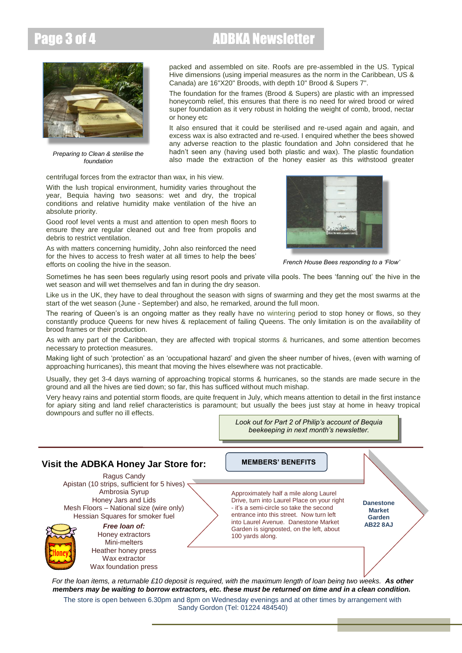## Page 3 of 4 **ADBKA Newsletter**



*Preparing to Clean & sterilise the foundation*

packed and assembled on site. Roofs are pre-assembled in the US. Typical Hive dimensions (using imperial measures as the norm in the Caribbean, US & Canada) are 16"X20" Broods, with depth 10" Brood & Supers 7".

The foundation for the frames (Brood & Supers) are plastic with an impressed honeycomb relief, this ensures that there is no need for wired brood or wired super foundation as it very robust in holding the weight of comb, brood, nectar or honey etc

It also ensured that it could be sterilised and re-used again and again, and excess wax is also extracted and re-used. I enquired whether the bees showed any adverse reaction to the plastic foundation and John considered that he hadn't seen any (having used both plastic and wax). The plastic foundation also made the extraction of the honey easier as this withstood greater

centrifugal forces from the extractor than wax, in his view.

With the lush tropical environment, humidity varies throughout the year, Bequia having two seasons: wet and dry, the tropical conditions and relative humidity make ventilation of the hive an absolute priority.

Good roof level vents a must and attention to open mesh floors to ensure they are regular cleaned out and free from propolis and debris to restrict ventilation.

As with matters concerning humidity, John also reinforced the need for the hives to access to fresh water at all times to help the bees' efforts on cooling the hive in the season.



*French House Bees responding to a 'Flow'*

Sometimes he has seen bees regularly using resort pools and private villa pools. The bees 'fanning out' the hive in the wet season and will wet themselves and fan in during the dry season.

Like us in the UK, they have to deal throughout the season with signs of swarming and they get the most swarms at the start of the wet season (June - September) and also, he remarked, around the full moon.

The rearing of Queen's is an ongoing matter as they really have no wintering period to stop honey or flows, so they constantly produce Queens for new hives & replacement of failing Queens. The only limitation is on the availability of brood frames or their production.

As with any part of the Caribbean, they are affected with tropical storms & hurricanes, and some attention becomes necessary to protection measures.

Making light of such 'protection' as an 'occupational hazard' and given the sheer number of hives, (even with warning of approaching hurricanes), this meant that moving the hives elsewhere was not practicable.

Usually, they get 3-4 days warning of approaching tropical storms & hurricanes, so the stands are made secure in the ground and all the hives are tied down; so far, this has sufficed without much mishap.

Very heavy rains and potential storm floods, are quite frequent in July, which means attention to detail in the first instance for apiary siting and land relief characteristics is paramount; but usually the bees just stay at home in heavy tropical downpours and suffer no ill effects.

> *Look out for Part 2 of Philip's account of Bequia beekeeping in next month's newsletter.*

#### *For the loan items, a returnable £10 deposit is required, with the maximum length of loan being two weeks. As other members may be waiting to borrow extractors, etc. these must be returned on time and in a clean condition.* **Visit the ADBKA Honey Jar Store for:** Ragus Candy Apistan (10 strips, sufficient for 5 hives)  $\overline{ }$ Ambrosia Syrup Honey Jars and Lids Mesh Floors – National size (wire only) Hessian Squares for smoker fuel *Free loan of:* Honey extractors Mini-melters Heather honey press Wax extractor Wax foundation press Approximately half a mile along Laurel Drive, turn into Laurel Place on your right - it's a semi-circle so take the second entrance into this street. Now turn left into Laurel Avenue. Danestone Market Garden is signposted, on the left, about 100 yards along. **Danestone Market Garden AB22 8AJ MEMBERS' BENEFITS**

The store is open between 6.30pm and 8pm on Wednesday evenings and at other times by arrangement with Sandy Gordon (Tel: 01224 484540)